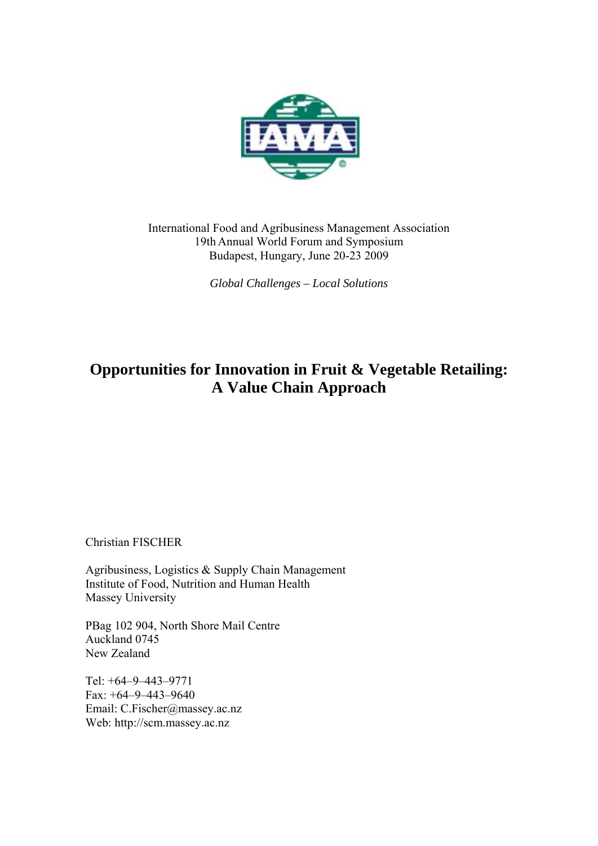

International Food and Agribusiness Management Association 19th Annual World Forum and Symposium Budapest, Hungary, June 20-23 2009

*Global Challenges – Local Solutions*

# **Opportunities for Innovation in Fruit & Vegetable Retailing: A Value Chain Approach**

Christian FISCHER

Agribusiness, Logistics & Supply Chain Management Institute of Food, Nutrition and Human Health Massey University

PBag 102 904, North Shore Mail Centre Auckland 0745 New Zealand

Tel: +64–9–443–9771 Fax: +64–9–443–9640 Email: C.Fischer@massey.ac.nz Web: http://scm.massey.ac.nz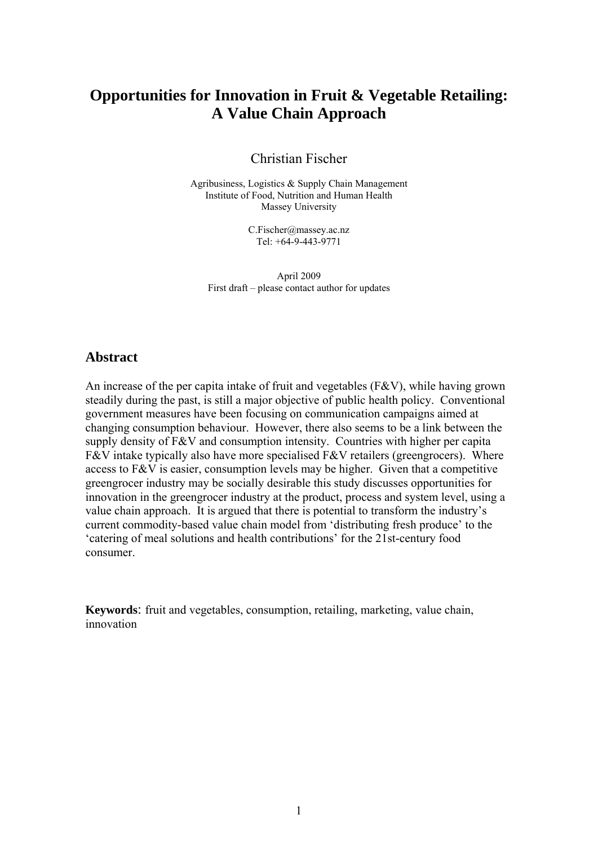# **Opportunities for Innovation in Fruit & Vegetable Retailing: A Value Chain Approach**

Christian Fischer

Agribusiness, Logistics & Supply Chain Management Institute of Food, Nutrition and Human Health Massey University

> C.Fischer@massey.ac.nz Tel: +64-9-443-9771

April 2009 First draft – please contact author for updates

### Abstract

An increase of the per capita intake of fruit and vegetables  $(F&V)$ , while having grown steadily during the past, is still a major objective of public health policy. Conventional government measures have been focusing on communication campaigns aimed at changing consumption behaviour. However, there also seems to be a link between the supply density of F&V and consumption intensity. Countries with higher per capita F&V intake typically also have more specialised F&V retailers (greengrocers). Where access to F&V is easier, consumption levels may be higher. Given that a competitive greengrocer industry may be socially desirable this study discusses opportunities for innovation in the greengrocer industry at the product, process and system level, using a value chain approach. It is argued that there is potential to transform the industry's current commodity-based value chain model from 'distributing fresh produce' to the 'catering of meal solutions and health contributions' for the 21st-century food consumer.

**Keywords**: fruit and vegetables, consumption, retailing, marketing, value chain, innovation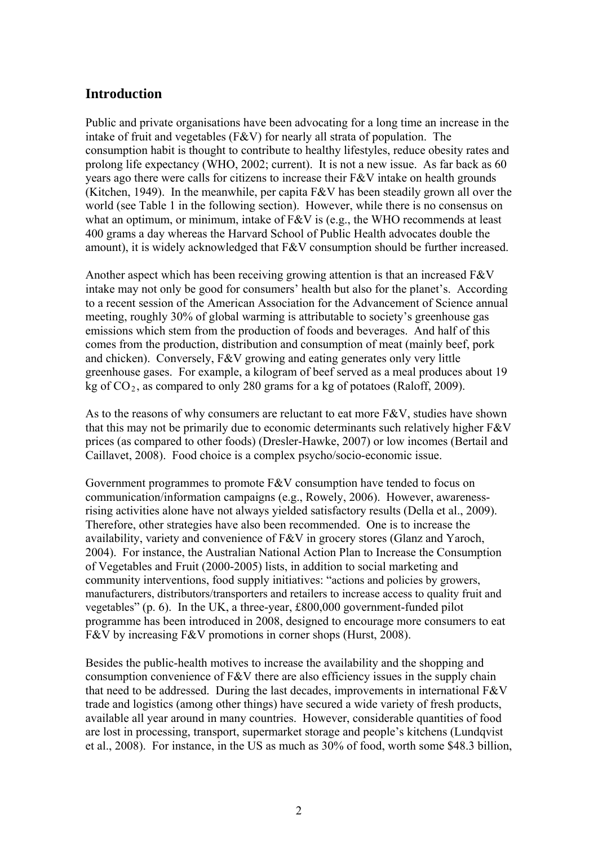# **Introduction**

Public and private organisations have been advocating for a long time an increase in the intake of fruit and vegetables (F&V) for nearly all strata of population. The consumption habit is thought to contribute to healthy lifestyles, reduce obesity rates and prolong life expectancy (WHO, 2002; current). It is not a new issue. As far back as 60 years ago there were calls for citizens to increase their F&V intake on health grounds (Kitchen, 1949). In the meanwhile, per capita F&V has been steadily grown all over the world (see Table 1 in the following section). However, while there is no consensus on what an optimum, or minimum, intake of F&V is (e.g., the WHO recommends at least 400 grams a day whereas the Harvard School of Public Health advocates double the amount), it is widely acknowledged that F&V consumption should be further increased.

Another aspect which has been receiving growing attention is that an increased F&V intake may not only be good for consumers' health but also for the planet's. According to a recent session of the American Association for the Advancement of Science annual meeting, roughly 30% of global warming is attributable to society's greenhouse gas emissions which stem from the production of foods and beverages. And half of this comes from the production, distribution and consumption of meat (mainly beef, pork and chicken). Conversely, F&V growing and eating generates only very little greenhouse gases. For example, a kilogram of beef served as a meal produces about 19 kg of  $CO<sub>2</sub>$ , as compared to only 280 grams for a kg of potatoes (Raloff, 2009).

As to the reasons of why consumers are reluctant to eat more F&V, studies have shown that this may not be primarily due to economic determinants such relatively higher F&V prices (as compared to other foods) (Dresler-Hawke, 2007) or low incomes (Bertail and Caillavet, 2008). Food choice is a complex psycho/socio-economic issue.

Government programmes to promote F&V consumption have tended to focus on communication/information campaigns (e.g., Rowely, 2006). However, awarenessrising activities alone have not always yielded satisfactory results (Della et al., 2009). Therefore, other strategies have also been recommended. One is to increase the availability, variety and convenience of F&V in grocery stores (Glanz and Yaroch, 2004). For instance, the Australian National Action Plan to Increase the Consumption of Vegetables and Fruit (2000-2005) lists, in addition to social marketing and community interventions, food supply initiatives: "actions and policies by growers, manufacturers, distributors/transporters and retailers to increase access to quality fruit and vegetables" (p. 6). In the UK, a three-year, £800,000 government-funded pilot programme has been introduced in 2008, designed to encourage more consumers to eat F&V by increasing F&V promotions in corner shops (Hurst, 2008).

Besides the public-health motives to increase the availability and the shopping and consumption convenience of  $F&V$  there are also efficiency issues in the supply chain that need to be addressed. During the last decades, improvements in international  $F&V$ trade and logistics (among other things) have secured a wide variety of fresh products, available all year around in many countries. However, considerable quantities of food are lost in processing, transport, supermarket storage and people's kitchens (Lundqvist et al., 2008). For instance, in the US as much as 30% of food, worth some \$48.3 billion,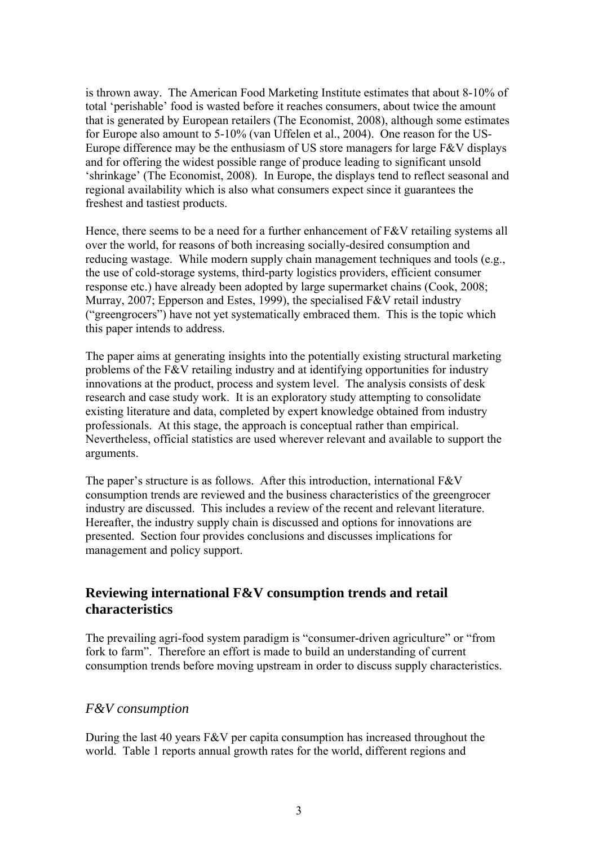is thrown away. The American Food Marketing Institute estimates that about 8-10% of total 'perishable' food is wasted before it reaches consumers, about twice the amount that is generated by European retailers (The Economist, 2008), although some estimates for Europe also amount to 5-10% (van Uffelen et al., 2004). One reason for the US-Europe difference may be the enthusiasm of US store managers for large F&V displays and for offering the widest possible range of produce leading to significant unsold 'shrinkage' (The Economist, 2008). In Europe, the displays tend to reflect seasonal and regional availability which is also what consumers expect since it guarantees the freshest and tastiest products.

Hence, there seems to be a need for a further enhancement of F&V retailing systems all over the world, for reasons of both increasing socially-desired consumption and reducing wastage. While modern supply chain management techniques and tools (e.g., the use of cold-storage systems, third-party logistics providers, efficient consumer response etc.) have already been adopted by large supermarket chains (Cook, 2008; Murray, 2007; Epperson and Estes, 1999), the specialised F&V retail industry ("greengrocers") have not yet systematically embraced them. This is the topic which this paper intends to address.

The paper aims at generating insights into the potentially existing structural marketing problems of the F&V retailing industry and at identifying opportunities for industry innovations at the product, process and system level. The analysis consists of desk research and case study work. It is an exploratory study attempting to consolidate existing literature and data, completed by expert knowledge obtained from industry professionals. At this stage, the approach is conceptual rather than empirical. Nevertheless, official statistics are used wherever relevant and available to support the arguments.

The paper's structure is as follows. After this introduction, international F&V consumption trends are reviewed and the business characteristics of the greengrocer industry are discussed. This includes a review of the recent and relevant literature. Hereafter, the industry supply chain is discussed and options for innovations are presented. Section four provides conclusions and discusses implications for management and policy support.

# 2B**Reviewing international F&V consumption trends and retail characteristics**

The prevailing agri-food system paradigm is "consumer-driven agriculture" or "from fork to farm". Therefore an effort is made to build an understanding of current consumption trends before moving upstream in order to discuss supply characteristics.

### 6B*F&V consumption*

During the last 40 years F&V per capita consumption has increased throughout the world. Table 1 reports annual growth rates for the world, different regions and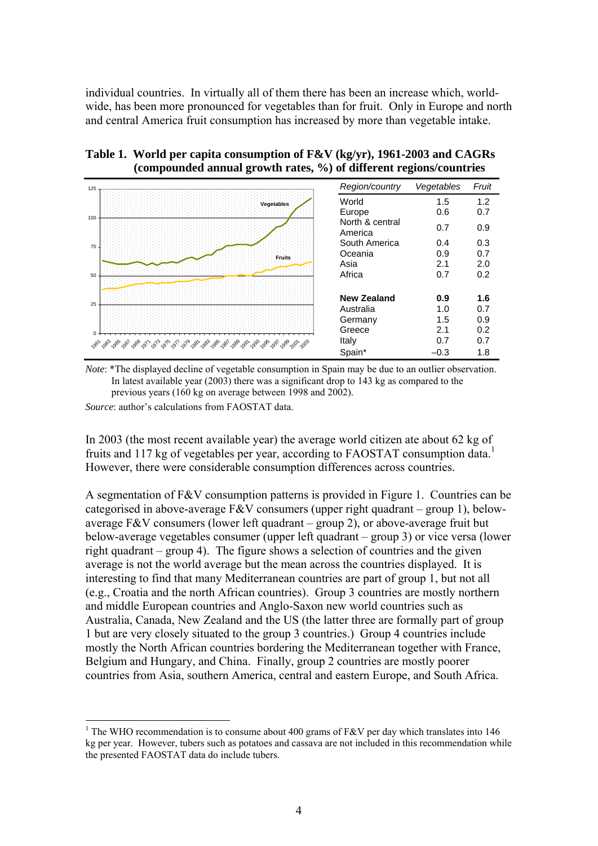individual countries. In virtually all of them there has been an increase which, worldwide, has been more pronounced for vegetables than for fruit. Only in Europe and north and central America fruit consumption has increased by more than vegetable intake.

| 125 |                   | Region/country             | Vegetables | Fruit |
|-----|-------------------|----------------------------|------------|-------|
|     | <b>Vegetables</b> | World                      | 1.5        | 1.2   |
| 100 |                   | Europe                     | 0.6        | 0.7   |
|     |                   | North & central<br>America | 0.7        | 0.9   |
| 75  |                   | South America              | 0.4        | 0.3   |
|     | Fruits            | Oceania                    | 0.9        | 0.7   |
|     |                   | Asia                       | 2.1        | 2.0   |
| 50  |                   | Africa                     | 0.7        | 0.2   |
|     |                   |                            |            |       |
|     |                   | <b>New Zealand</b>         | 0.9        | 1.6   |
| 25  |                   | Australia                  | 1.0        | 0.7   |
|     |                   | Germany                    | 1.5        | 0.9   |
|     |                   | Greece                     | 2.1        | 0.2   |
|     |                   | Italy                      | 0.7        | 0.7   |
|     |                   | Spain*                     | $-0.3$     | 1.8   |

**Table 1. World per capita consumption of F&V (kg/yr), 1961-2003 and CAGRs (compounded annual growth rates, %) of different regions/countries** 

*Note*: \*The displayed decline of vegetable consumption in Spain may be due to an outlier observation. In latest available year (2003) there was a significant drop to 143 kg as compared to the previous years (160 kg on average between 1998 and 2002).

*Source*: author's calculations from FAOSTAT data.

<u>.</u>

In 2003 (the most recent available year) the average world citizen ate about 62 kg of fruits and 117 kg of vegetables per year, according to FAOSTAT consumption data.<sup>1</sup> However, there were considerable consumption differences across countries.

A segmentation of  $F&V$  consumption patterns is provided in Figure 1. Countries can be categorised in above-average F&V consumers (upper right quadrant – group 1), belowaverage F&V consumers (lower left quadrant – group 2), or above-average fruit but below-average vegetables consumer (upper left quadrant – group 3) or vice versa (lower right quadrant – group 4). The figure shows a selection of countries and the given average is not the world average but the mean across the countries displayed. It is interesting to find that many Mediterranean countries are part of group 1, but not all (e.g., Croatia and the north African countries). Group 3 countries are mostly northern and middle European countries and Anglo-Saxon new world countries such as Australia, Canada, New Zealand and the US (the latter three are formally part of group 1 but are very closely situated to the group 3 countries.) Group 4 countries include mostly the North African countries bordering the Mediterranean together with France, Belgium and Hungary, and China. Finally, group 2 countries are mostly poorer countries from Asia, southern America, central and eastern Europe, and South Africa.

<sup>&</sup>lt;sup>1</sup> The WHO recommendation is to consume about 400 grams of F&V per day which translates into 146 kg per year. However, tubers such as potatoes and cassava are not included in this recommendation while the presented FAOSTAT data do include tubers.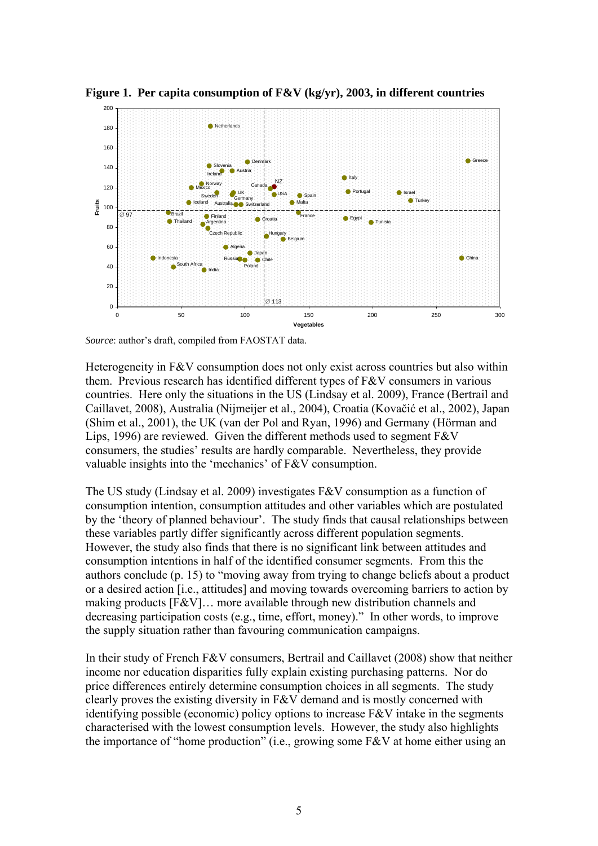

**Figure 1. Per capita consumption of F&V (kg/yr), 2003, in different countries** 

*Source*: author's draft, compiled from FAOSTAT data.

Heterogeneity in F&V consumption does not only exist across countries but also within them. Previous research has identified different types of F&V consumers in various countries. Here only the situations in the US (Lindsay et al. 2009), France (Bertrail and Caillavet, 2008), Australia (Nijmeijer et al., 2004), Croatia (Kovačić et al., 2002), Japan (Shim et al., 2001), the UK (van der Pol and Ryan, 1996) and Germany (Hörman and Lips, 1996) are reviewed. Given the different methods used to segment F&V consumers, the studies' results are hardly comparable. Nevertheless, they provide valuable insights into the 'mechanics' of F&V consumption.

The US study (Lindsay et al. 2009) investigates F&V consumption as a function of consumption intention, consumption attitudes and other variables which are postulated by the 'theory of planned behaviour'. The study finds that causal relationships between these variables partly differ significantly across different population segments. However, the study also finds that there is no significant link between attitudes and consumption intentions in half of the identified consumer segments. From this the authors conclude (p. 15) to "moving away from trying to change beliefs about a product or a desired action [i.e., attitudes] and moving towards overcoming barriers to action by making products [F&V]… more available through new distribution channels and decreasing participation costs (e.g., time, effort, money)." In other words, to improve the supply situation rather than favouring communication campaigns.

In their study of French F&V consumers, Bertrail and Caillavet (2008) show that neither income nor education disparities fully explain existing purchasing patterns. Nor do price differences entirely determine consumption choices in all segments. The study clearly proves the existing diversity in F&V demand and is mostly concerned with identifying possible (economic) policy options to increase  $F\&V$  intake in the segments characterised with the lowest consumption levels. However, the study also highlights the importance of "home production" (i.e., growing some F&V at home either using an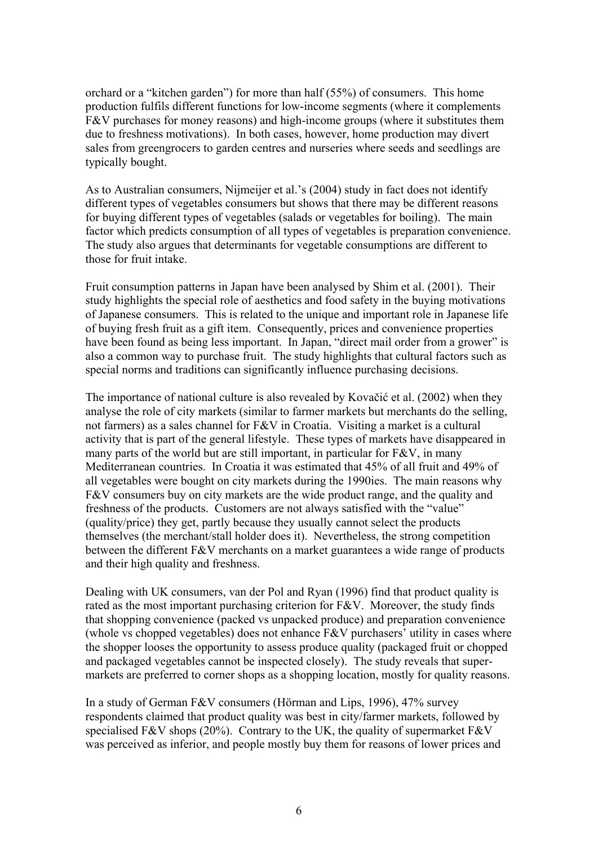orchard or a "kitchen garden") for more than half (55%) of consumers. This home production fulfils different functions for low-income segments (where it complements F&V purchases for money reasons) and high-income groups (where it substitutes them due to freshness motivations). In both cases, however, home production may divert sales from greengrocers to garden centres and nurseries where seeds and seedlings are typically bought.

As to Australian consumers, Nijmeijer et al.'s (2004) study in fact does not identify different types of vegetables consumers but shows that there may be different reasons for buying different types of vegetables (salads or vegetables for boiling). The main factor which predicts consumption of all types of vegetables is preparation convenience. The study also argues that determinants for vegetable consumptions are different to those for fruit intake.

Fruit consumption patterns in Japan have been analysed by Shim et al. (2001). Their study highlights the special role of aesthetics and food safety in the buying motivations of Japanese consumers. This is related to the unique and important role in Japanese life of buying fresh fruit as a gift item. Consequently, prices and convenience properties have been found as being less important. In Japan, "direct mail order from a grower" is also a common way to purchase fruit. The study highlights that cultural factors such as special norms and traditions can significantly influence purchasing decisions.

The importance of national culture is also revealed by Kovačić et al. (2002) when they analyse the role of city markets (similar to farmer markets but merchants do the selling, not farmers) as a sales channel for F&V in Croatia. Visiting a market is a cultural activity that is part of the general lifestyle. These types of markets have disappeared in many parts of the world but are still important, in particular for F&V, in many Mediterranean countries. In Croatia it was estimated that 45% of all fruit and 49% of all vegetables were bought on city markets during the 1990ies. The main reasons why F&V consumers buy on city markets are the wide product range, and the quality and freshness of the products. Customers are not always satisfied with the "value" (quality/price) they get, partly because they usually cannot select the products themselves (the merchant/stall holder does it). Nevertheless, the strong competition between the different F&V merchants on a market guarantees a wide range of products and their high quality and freshness.

Dealing with UK consumers, van der Pol and Ryan (1996) find that product quality is rated as the most important purchasing criterion for F&V. Moreover, the study finds that shopping convenience (packed vs unpacked produce) and preparation convenience (whole vs chopped vegetables) does not enhance F&V purchasers' utility in cases where the shopper looses the opportunity to assess produce quality (packaged fruit or chopped and packaged vegetables cannot be inspected closely). The study reveals that supermarkets are preferred to corner shops as a shopping location, mostly for quality reasons.

In a study of German F&V consumers (Hörman and Lips, 1996), 47% survey respondents claimed that product quality was best in city/farmer markets, followed by specialised F&V shops (20%). Contrary to the UK, the quality of supermarket F&V was perceived as inferior, and people mostly buy them for reasons of lower prices and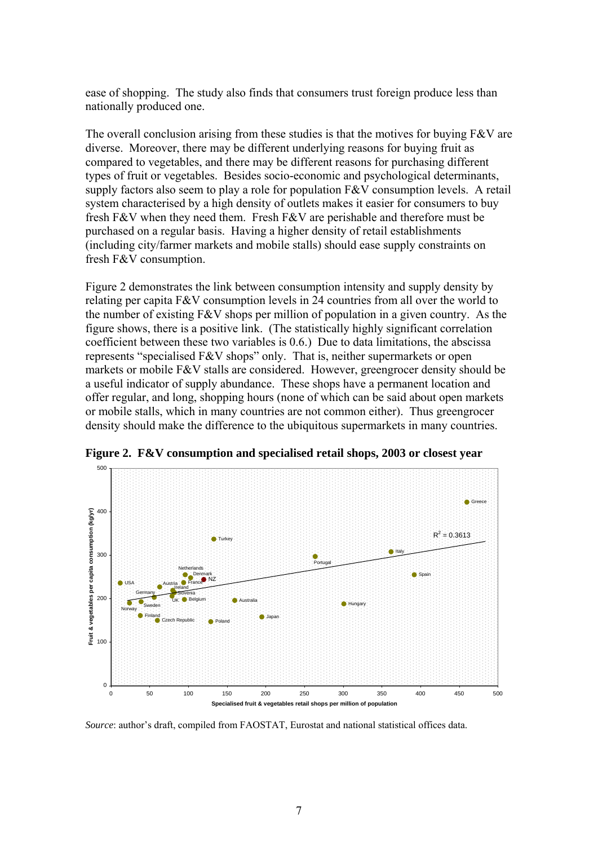ease of shopping. The study also finds that consumers trust foreign produce less than nationally produced one.

The overall conclusion arising from these studies is that the motives for buying F&V are diverse. Moreover, there may be different underlying reasons for buying fruit as compared to vegetables, and there may be different reasons for purchasing different types of fruit or vegetables. Besides socio-economic and psychological determinants, supply factors also seem to play a role for population F&V consumption levels. A retail system characterised by a high density of outlets makes it easier for consumers to buy fresh F&V when they need them. Fresh F&V are perishable and therefore must be purchased on a regular basis. Having a higher density of retail establishments (including city/farmer markets and mobile stalls) should ease supply constraints on fresh F&V consumption.

Figure 2 demonstrates the link between consumption intensity and supply density by relating per capita F&V consumption levels in 24 countries from all over the world to the number of existing F&V shops per million of population in a given country. As the figure shows, there is a positive link. (The statistically highly significant correlation coefficient between these two variables is 0.6.) Due to data limitations, the abscissa represents "specialised F&V shops" only. That is, neither supermarkets or open markets or mobile F&V stalls are considered. However, greengrocer density should be a useful indicator of supply abundance. These shops have a permanent location and offer regular, and long, shopping hours (none of which can be said about open markets or mobile stalls, which in many countries are not common either). Thus greengrocer density should make the difference to the ubiquitous supermarkets in many countries.



**Figure 2. F&V consumption and specialised retail shops, 2003 or closest year** 

*Source*: author's draft, compiled from FAOSTAT, Eurostat and national statistical offices data.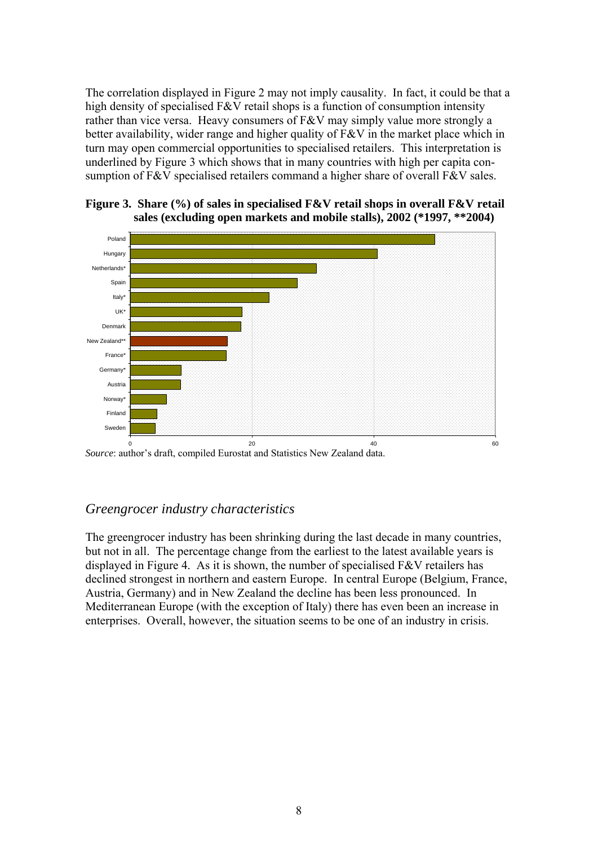The correlation displayed in Figure 2 may not imply causality. In fact, it could be that a high density of specialised F&V retail shops is a function of consumption intensity rather than vice versa. Heavy consumers of F&V may simply value more strongly a better availability, wider range and higher quality of F&V in the market place which in turn may open commercial opportunities to specialised retailers. This interpretation is underlined by Figure 3 which shows that in many countries with high per capita consumption of F&V specialised retailers command a higher share of overall F&V sales.



**Figure 3. Share (%) of sales in specialised F&V retail shops in overall F&V retail sales (excluding open markets and mobile stalls), 2002 (\*1997, \*\*2004)** 

*Source*: author's draft, compiled Eurostat and Statistics New Zealand data. 0 20 40 60

### 7B*Greengrocer industry characteristics*

The greengrocer industry has been shrinking during the last decade in many countries, but not in all. The percentage change from the earliest to the latest available years is displayed in Figure 4. As it is shown, the number of specialised  $F&V$  retailers has declined strongest in northern and eastern Europe. In central Europe (Belgium, France, Austria, Germany) and in New Zealand the decline has been less pronounced. In Mediterranean Europe (with the exception of Italy) there has even been an increase in enterprises. Overall, however, the situation seems to be one of an industry in crisis.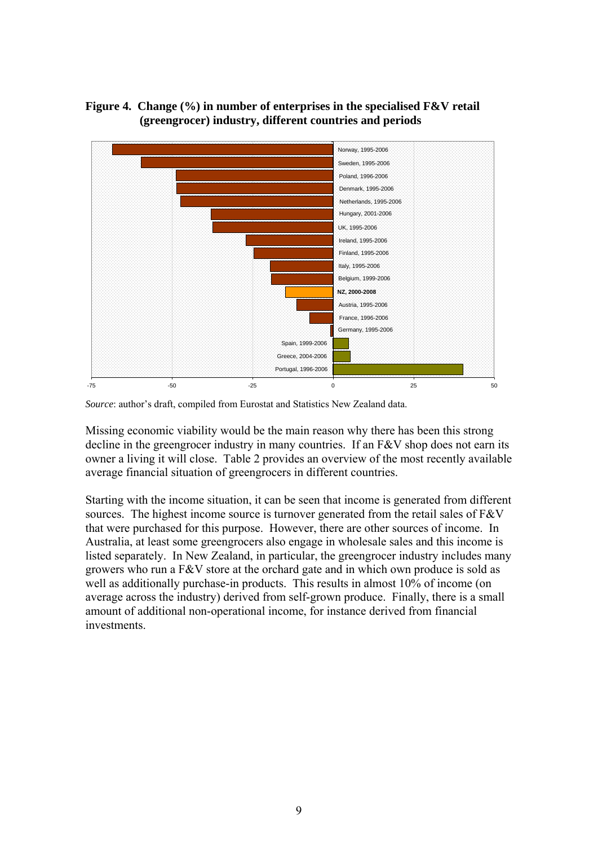### **Figure 4. Change (%) in number of enterprises in the specialised F&V retail (greengrocer) industry, different countries and periods**



*Source*: author's draft, compiled from Eurostat and Statistics New Zealand data.

Missing economic viability would be the main reason why there has been this strong decline in the greengrocer industry in many countries. If an F&V shop does not earn its owner a living it will close. Table 2 provides an overview of the most recently available average financial situation of greengrocers in different countries.

Starting with the income situation, it can be seen that income is generated from different sources. The highest income source is turnover generated from the retail sales of F&V that were purchased for this purpose. However, there are other sources of income. In Australia, at least some greengrocers also engage in wholesale sales and this income is listed separately. In New Zealand, in particular, the greengrocer industry includes many growers who run a F&V store at the orchard gate and in which own produce is sold as well as additionally purchase-in products. This results in almost 10% of income (on average across the industry) derived from self-grown produce. Finally, there is a small amount of additional non-operational income, for instance derived from financial investments.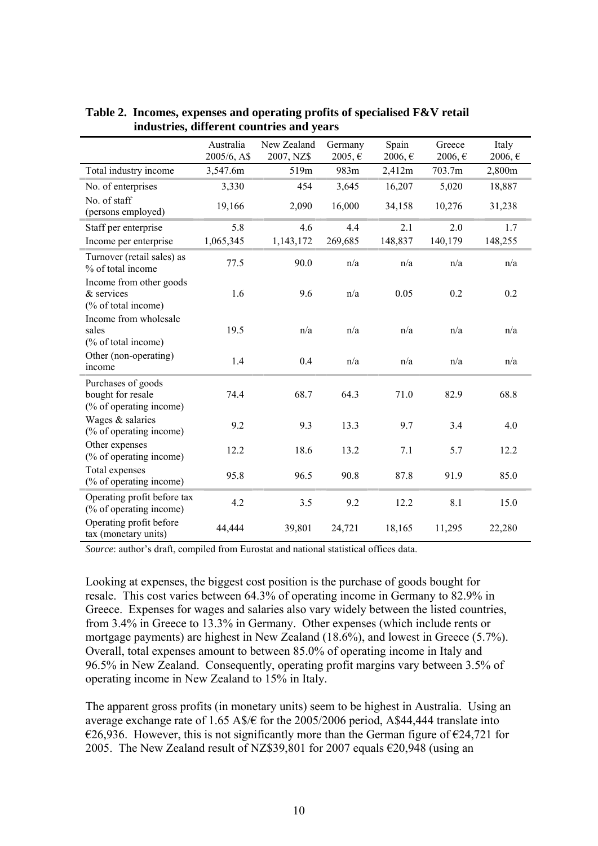|                                                                    | Australia   | New Zealand | Germany | Spain   | Greece      | Italy   |
|--------------------------------------------------------------------|-------------|-------------|---------|---------|-------------|---------|
|                                                                    | 2005/6, A\$ | 2007, NZ\$  | 2005, € | 2006, € | $2006, \in$ | 2006, € |
| Total industry income                                              | 3,547.6m    | 519m        | 983m    | 2,412m  | 703.7m      | 2,800m  |
| No. of enterprises                                                 | 3,330       | 454         | 3,645   | 16,207  | 5,020       | 18,887  |
| No. of staff<br>(persons employed)                                 | 19,166      | 2,090       | 16,000  | 34,158  | 10,276      | 31,238  |
| Staff per enterprise                                               | 5.8         | 4.6         | 4.4     | 2.1     | 2.0         | 1.7     |
| Income per enterprise                                              | 1,065,345   | 1,143,172   | 269,685 | 148,837 | 140,179     | 148,255 |
| Turnover (retail sales) as<br>% of total income                    | 77.5        | 90.0        | n/a     | n/a     | n/a         | n/a     |
| Income from other goods<br>& services<br>(% of total income)       | 1.6         | 9.6         | n/a     | 0.05    | 0.2         | 0.2     |
| Income from wholesale<br>sales<br>(% of total income)              | 19.5        | n/a         | n/a     | n/a     | n/a         | n/a     |
| Other (non-operating)<br>income                                    | 1.4         | 0.4         | n/a     | n/a     | n/a         | n/a     |
| Purchases of goods<br>bought for resale<br>(% of operating income) | 74.4        | 68.7        | 64.3    | 71.0    | 82.9        | 68.8    |
| Wages & salaries<br>(% of operating income)                        | 9.2         | 9.3         | 13.3    | 9.7     | 3.4         | 4.0     |
| Other expenses<br>(% of operating income)                          | 12.2        | 18.6        | 13.2    | 7.1     | 5.7         | 12.2    |
| Total expenses<br>(% of operating income)                          | 95.8        | 96.5        | 90.8    | 87.8    | 91.9        | 85.0    |
| Operating profit before tax<br>(% of operating income)             | 4.2         | 3.5         | 9.2     | 12.2    | 8.1         | 15.0    |
| Operating profit before<br>tax (monetary units)                    | 44,444      | 39,801      | 24,721  | 18,165  | 11,295      | 22,280  |

**Table 2. Incomes, expenses and operating profits of specialised F&V retail industries, different countries and years** 

*Source*: author's draft, compiled from Eurostat and national statistical offices data.

Looking at expenses, the biggest cost position is the purchase of goods bought for resale. This cost varies between 64.3% of operating income in Germany to 82.9% in Greece. Expenses for wages and salaries also vary widely between the listed countries, from 3.4% in Greece to 13.3% in Germany. Other expenses (which include rents or mortgage payments) are highest in New Zealand (18.6%), and lowest in Greece (5.7%). Overall, total expenses amount to between 85.0% of operating income in Italy and 96.5% in New Zealand. Consequently, operating profit margins vary between 3.5% of operating income in New Zealand to 15% in Italy.

The apparent gross profits (in monetary units) seem to be highest in Australia. Using an average exchange rate of 1.65 A\$/ $\epsilon$  for the 2005/2006 period, A\$44,444 translate into €26,936. However, this is not significantly more than the German figure of  $€24,721$  for 2005. The New Zealand result of NZ\$39,801 for 2007 equals  $\epsilon$ 20,948 (using an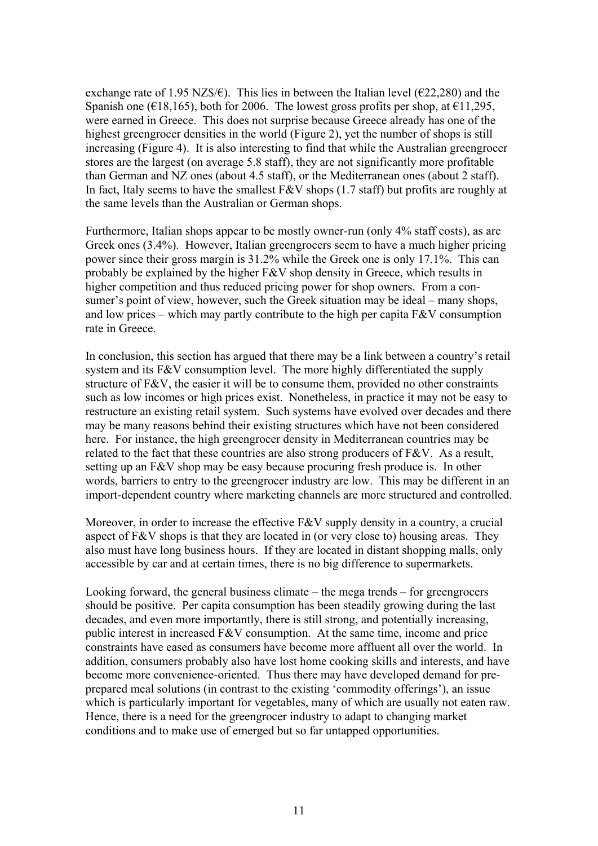exchange rate of 1.95 NZ\$/ $\epsilon$ ). This lies in between the Italian level ( $\epsilon$ 22,280) and the Spanish one ( $\epsilon$ 18,165), both for 2006. The lowest gross profits per shop, at  $\epsilon$ 11,295, were earned in Greece. This does not surprise because Greece already has one of the highest greengrocer densities in the world (Figure 2), yet the number of shops is still increasing (Figure 4). It is also interesting to find that while the Australian greengrocer stores are the largest (on average 5.8 staff), they are not significantly more profitable than German and NZ ones (about 4.5 staff), or the Mediterranean ones (about 2 staff). In fact, Italy seems to have the smallest  $F&V$  shops (1.7 staff) but profits are roughly at the same levels than the Australian or German shops.

Furthermore, Italian shops appear to be mostly owner-run (only 4% staff costs), as are Greek ones (3.4%). However, Italian greengrocers seem to have a much higher pricing power since their gross margin is 31.2% while the Greek one is only 17.1%. This can probably be explained by the higher F&V shop density in Greece, which results in higher competition and thus reduced pricing power for shop owners. From a consumer's point of view, however, such the Greek situation may be ideal – many shops, and low prices – which may partly contribute to the high per capita  $F&V$  consumption rate in Greece.

In conclusion, this section has argued that there may be a link between a country's retail system and its F&V consumption level. The more highly differentiated the supply structure of F&V, the easier it will be to consume them, provided no other constraints such as low incomes or high prices exist. Nonetheless, in practice it may not be easy to restructure an existing retail system. Such systems have evolved over decades and there may be many reasons behind their existing structures which have not been considered here. For instance, the high greengrocer density in Mediterranean countries may be related to the fact that these countries are also strong producers of F&V. As a result, setting up an F&V shop may be easy because procuring fresh produce is. In other words, barriers to entry to the greengrocer industry are low. This may be different in an import-dependent country where marketing channels are more structured and controlled.

Moreover, in order to increase the effective F&V supply density in a country, a crucial aspect of F&V shops is that they are located in (or very close to) housing areas. They also must have long business hours. If they are located in distant shopping malls, only accessible by car and at certain times, there is no big difference to supermarkets.

Looking forward, the general business climate – the mega trends – for greengrocers should be positive. Per capita consumption has been steadily growing during the last decades, and even more importantly, there is still strong, and potentially increasing, public interest in increased F&V consumption. At the same time, income and price constraints have eased as consumers have become more affluent all over the world. In addition, consumers probably also have lost home cooking skills and interests, and have become more convenience-oriented. Thus there may have developed demand for preprepared meal solutions (in contrast to the existing 'commodity offerings'), an issue which is particularly important for vegetables, many of which are usually not eaten raw. Hence, there is a need for the greengrocer industry to adapt to changing market conditions and to make use of emerged but so far untapped opportunities.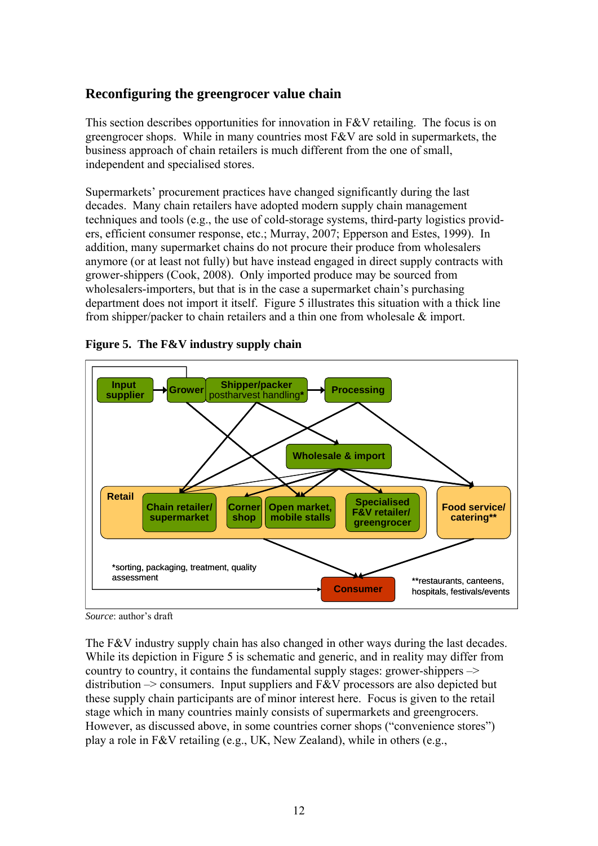# 3B**Reconfiguring the greengrocer value chain**

This section describes opportunities for innovation in F&V retailing. The focus is on greengrocer shops. While in many countries most F&V are sold in supermarkets, the business approach of chain retailers is much different from the one of small, independent and specialised stores.

Supermarkets' procurement practices have changed significantly during the last decades. Many chain retailers have adopted modern supply chain management techniques and tools (e.g., the use of cold-storage systems, third-party logistics providers, efficient consumer response, etc.; Murray, 2007; Epperson and Estes, 1999). In addition, many supermarket chains do not procure their produce from wholesalers anymore (or at least not fully) but have instead engaged in direct supply contracts with grower-shippers (Cook, 2008). Only imported produce may be sourced from wholesalers-importers, but that is in the case a supermarket chain's purchasing department does not import it itself. Figure 5 illustrates this situation with a thick line from shipper/packer to chain retailers and a thin one from wholesale & import.



### **Figure 5. The F&V industry supply chain**

The F&V industry supply chain has also changed in other ways during the last decades. While its depiction in Figure 5 is schematic and generic, and in reality may differ from country to country, it contains the fundamental supply stages: grower-shippers –> distribution  $\rightarrow$  consumers. Input suppliers and F&V processors are also depicted but these supply chain participants are of minor interest here. Focus is given to the retail stage which in many countries mainly consists of supermarkets and greengrocers. However, as discussed above, in some countries corner shops ("convenience stores") play a role in F&V retailing (e.g., UK, New Zealand), while in others (e.g.,

*Source*: author's draft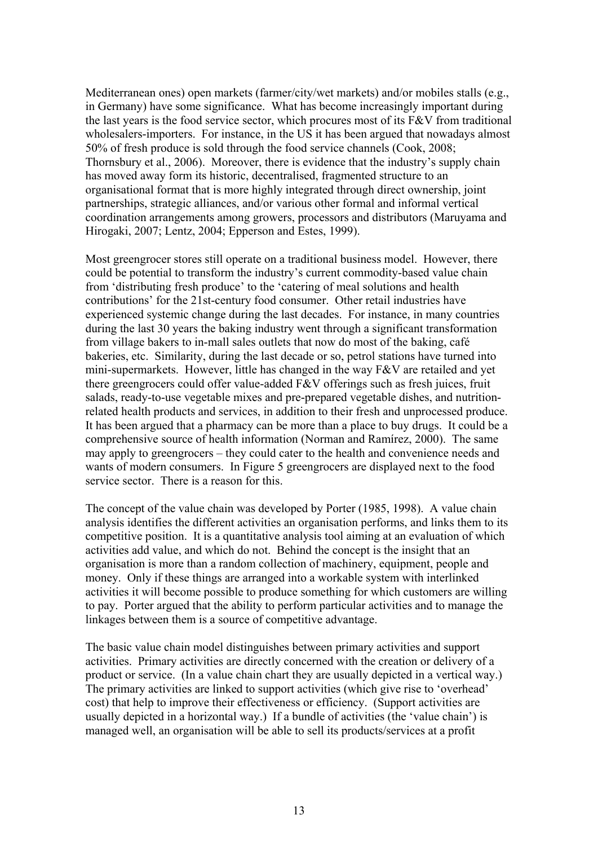Mediterranean ones) open markets (farmer/city/wet markets) and/or mobiles stalls (e.g., in Germany) have some significance. What has become increasingly important during the last years is the food service sector, which procures most of its  $F&V$  from traditional wholesalers-importers. For instance, in the US it has been argued that nowadays almost 50% of fresh produce is sold through the food service channels (Cook, 2008; Thornsbury et al., 2006). Moreover, there is evidence that the industry's supply chain has moved away form its historic, decentralised, fragmented structure to an organisational format that is more highly integrated through direct ownership, joint partnerships, strategic alliances, and/or various other formal and informal vertical coordination arrangements among growers, processors and distributors (Maruyama and Hirogaki, 2007; Lentz, 2004; Epperson and Estes, 1999).

Most greengrocer stores still operate on a traditional business model. However, there could be potential to transform the industry's current commodity-based value chain from 'distributing fresh produce' to the 'catering of meal solutions and health contributions' for the 21st-century food consumer. Other retail industries have experienced systemic change during the last decades. For instance, in many countries during the last 30 years the baking industry went through a significant transformation from village bakers to in-mall sales outlets that now do most of the baking, café bakeries, etc. Similarity, during the last decade or so, petrol stations have turned into mini-supermarkets. However, little has changed in the way F&V are retailed and yet there greengrocers could offer value-added F&V offerings such as fresh juices, fruit salads, ready-to-use vegetable mixes and pre-prepared vegetable dishes, and nutritionrelated health products and services, in addition to their fresh and unprocessed produce. It has been argued that a pharmacy can be more than a place to buy drugs. It could be a comprehensive source of health information (Norman and Ramírez, 2000). The same may apply to greengrocers – they could cater to the health and convenience needs and wants of modern consumers. In Figure 5 greengrocers are displayed next to the food service sector. There is a reason for this.

The concept of the value chain was developed by Porter (1985, 1998). A value chain analysis identifies the different activities an organisation performs, and links them to its competitive position. It is a quantitative analysis tool aiming at an evaluation of which activities add value, and which do not. Behind the concept is the insight that an organisation is more than a random collection of machinery, equipment, people and money. Only if these things are arranged into a workable system with interlinked activities it will become possible to produce something for which customers are willing to pay. Porter argued that the ability to perform particular activities and to manage the linkages between them is a source of competitive advantage.

The basic value chain model distinguishes between primary activities and support activities. Primary activities are directly concerned with the creation or delivery of a product or service. (In a value chain chart they are usually depicted in a vertical way.) The primary activities are linked to support activities (which give rise to 'overhead' cost) that help to improve their effectiveness or efficiency. (Support activities are usually depicted in a horizontal way.) If a bundle of activities (the 'value chain') is managed well, an organisation will be able to sell its products/services at a profit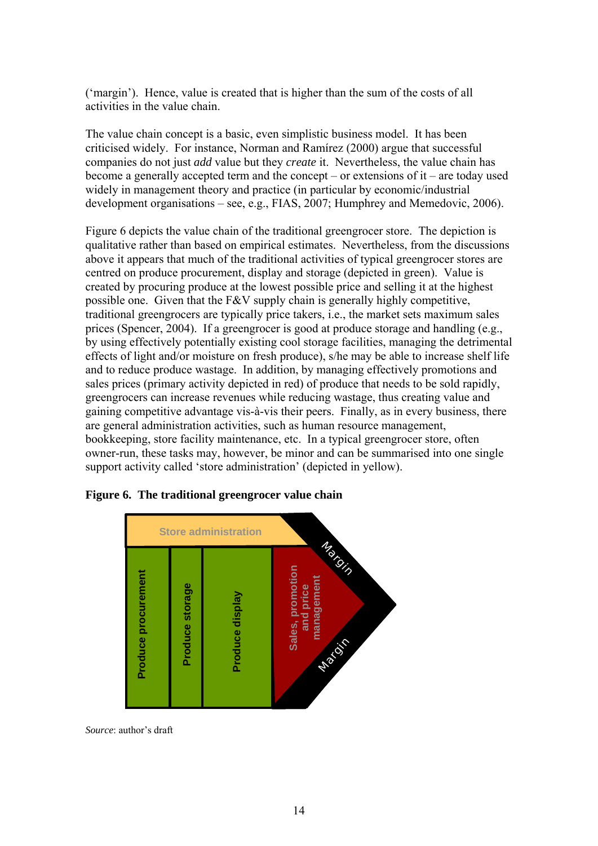('margin'). Hence, value is created that is higher than the sum of the costs of all activities in the value chain.

The value chain concept is a basic, even simplistic business model. It has been criticised widely. For instance, Norman and Ramírez (2000) argue that successful companies do not just *add* value but they *create* it. Nevertheless, the value chain has become a generally accepted term and the concept – or extensions of it – are today used widely in management theory and practice (in particular by economic/industrial development organisations – see, e.g., FIAS, 2007; Humphrey and Memedovic, 2006).

Figure 6 depicts the value chain of the traditional greengrocer store. The depiction is qualitative rather than based on empirical estimates. Nevertheless, from the discussions above it appears that much of the traditional activities of typical greengrocer stores are centred on produce procurement, display and storage (depicted in green). Value is created by procuring produce at the lowest possible price and selling it at the highest possible one. Given that the F&V supply chain is generally highly competitive, traditional greengrocers are typically price takers, i.e., the market sets maximum sales prices (Spencer, 2004). If a greengrocer is good at produce storage and handling (e.g., by using effectively potentially existing cool storage facilities, managing the detrimental effects of light and/or moisture on fresh produce), s/he may be able to increase shelf life and to reduce produce wastage. In addition, by managing effectively promotions and sales prices (primary activity depicted in red) of produce that needs to be sold rapidly, greengrocers can increase revenues while reducing wastage, thus creating value and gaining competitive advantage vis-à-vis their peers. Finally, as in every business, there are general administration activities, such as human resource management, bookkeeping, store facility maintenance, etc. In a typical greengrocer store, often owner-run, these tasks may, however, be minor and can be summarised into one single support activity called 'store administration' (depicted in yellow).



#### **Figure 6. The traditional greengrocer value chain**

*Source*: author's draft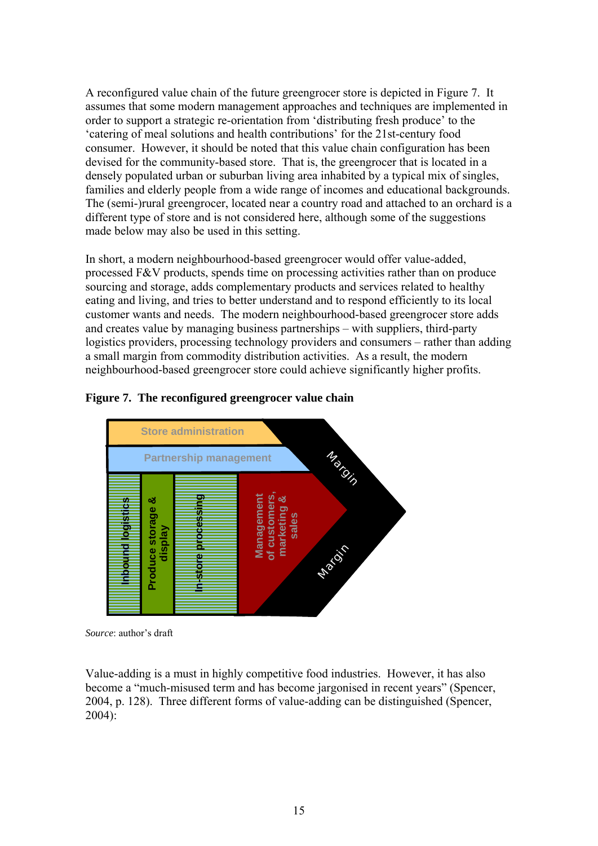A reconfigured value chain of the future greengrocer store is depicted in Figure 7. It assumes that some modern management approaches and techniques are implemented in order to support a strategic re-orientation from 'distributing fresh produce' to the 'catering of meal solutions and health contributions' for the 21st-century food consumer. However, it should be noted that this value chain configuration has been devised for the community-based store. That is, the greengrocer that is located in a densely populated urban or suburban living area inhabited by a typical mix of singles, families and elderly people from a wide range of incomes and educational backgrounds. The (semi-)rural greengrocer, located near a country road and attached to an orchard is a different type of store and is not considered here, although some of the suggestions made below may also be used in this setting.

In short, a modern neighbourhood-based greengrocer would offer value-added, processed F&V products, spends time on processing activities rather than on produce sourcing and storage, adds complementary products and services related to healthy eating and living, and tries to better understand and to respond efficiently to its local customer wants and needs. The modern neighbourhood-based greengrocer store adds and creates value by managing business partnerships – with suppliers, third-party logistics providers, processing technology providers and consumers – rather than adding a small margin from commodity distribution activities. As a result, the modern neighbourhood-based greengrocer store could achieve significantly higher profits.

### **Figure 7. The reconfigured greengrocer value chain**



*Source*: author's draft

Value-adding is a must in highly competitive food industries. However, it has also become a "much-misused term and has become jargonised in recent years" (Spencer, 2004, p. 128). Three different forms of value-adding can be distinguished (Spencer, 2004):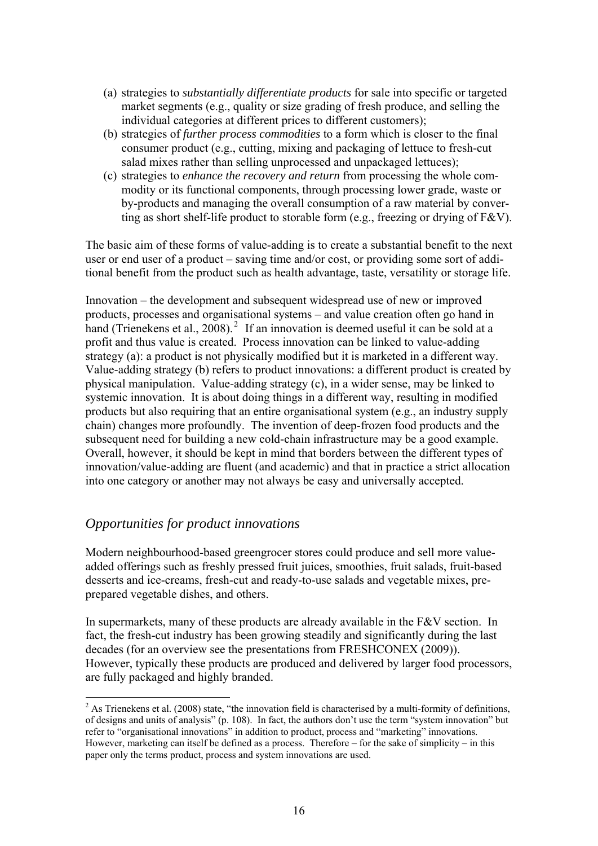- (a) strategies to *substantially differentiate products* for sale into specific or targeted market segments (e.g., quality or size grading of fresh produce, and selling the individual categories at different prices to different customers);
- (b) strategies of *further process commodities* to a form which is closer to the final consumer product (e.g., cutting, mixing and packaging of lettuce to fresh-cut salad mixes rather than selling unprocessed and unpackaged lettuces);
- (c) strategies to *enhance the recovery and return* from processing the whole commodity or its functional components, through processing lower grade, waste or by-products and managing the overall consumption of a raw material by converting as short shelf-life product to storable form (e.g., freezing or drying of F&V).

The basic aim of these forms of value-adding is to create a substantial benefit to the next user or end user of a product – saving time and/or cost, or providing some sort of additional benefit from the product such as health advantage, taste, versatility or storage life.

Innovation – the development and subsequent widespread use of new or improved products, processes and organisational systems – and value creation often go hand in hand (Trienekens et al., 2008).<sup>2</sup> If an innovation is deemed useful it can be sold at a profit and thus value is created. Process innovation can be linked to value-adding strategy (a): a product is not physically modified but it is marketed in a different way. Value-adding strategy (b) refers to product innovations: a different product is created by physical manipulation. Value-adding strategy (c), in a wider sense, may be linked to systemic innovation. It is about doing things in a different way, resulting in modified products but also requiring that an entire organisational system (e.g., an industry supply chain) changes more profoundly. The invention of deep-frozen food products and the subsequent need for building a new cold-chain infrastructure may be a good example. Overall, however, it should be kept in mind that borders between the different types of innovation/value-adding are fluent (and academic) and that in practice a strict allocation into one category or another may not always be easy and universally accepted.

# 8B*Opportunities for product innovations*

1

Modern neighbourhood-based greengrocer stores could produce and sell more valueadded offerings such as freshly pressed fruit juices, smoothies, fruit salads, fruit-based desserts and ice-creams, fresh-cut and ready-to-use salads and vegetable mixes, preprepared vegetable dishes, and others.

In supermarkets, many of these products are already available in the F&V section. In fact, the fresh-cut industry has been growing steadily and significantly during the last decades (for an overview see the presentations from FRESHCONEX (2009)). However, typically these products are produced and delivered by larger food processors, are fully packaged and highly branded.

 $^{2}$  As Trienekens et al. (2008) state, "the innovation field is characterised by a multi-formity of definitions, of designs and units of analysis" (p. 108). In fact, the authors don't use the term "system innovation" but refer to "organisational innovations" in addition to product, process and "marketing" innovations. However, marketing can itself be defined as a process. Therefore – for the sake of simplicity – in this paper only the terms product, process and system innovations are used.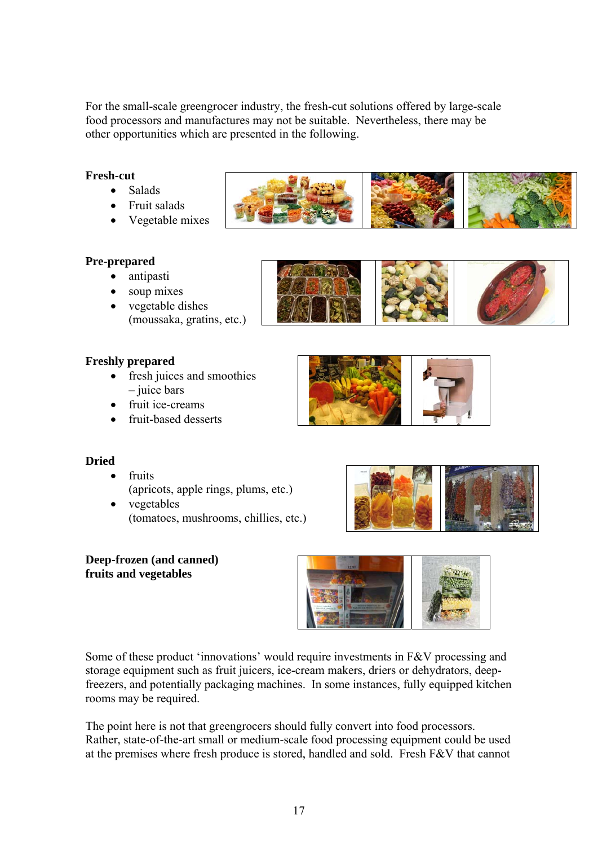For the small-scale greengrocer industry, the fresh-cut solutions offered by large-scale food processors and manufactures may not be suitable. Nevertheless, there may be other opportunities which are presented in the following.

### **Fresh-cut**

- Salads
	- Fruit salads
	- Vegetable mixes



- antipasti
- soup mixes
- vegetable dishes (moussaka, gratins, etc.)





- fresh juices and smoothies – juice bars
- fruit ice-creams
- fruit-based desserts





- fruits
	- (apricots, apple rings, plums, etc.) • vegetables
	- (tomatoes, mushrooms, chillies, etc.)



#### **Deep-frozen (and canned) fruits and vegetables**



Some of these product 'innovations' would require investments in F&V processing and storage equipment such as fruit juicers, ice-cream makers, driers or dehydrators, deepfreezers, and potentially packaging machines. In some instances, fully equipped kitchen rooms may be required.

The point here is not that greengrocers should fully convert into food processors. Rather, state-of-the-art small or medium-scale food processing equipment could be used at the premises where fresh produce is stored, handled and sold. Fresh F&V that cannot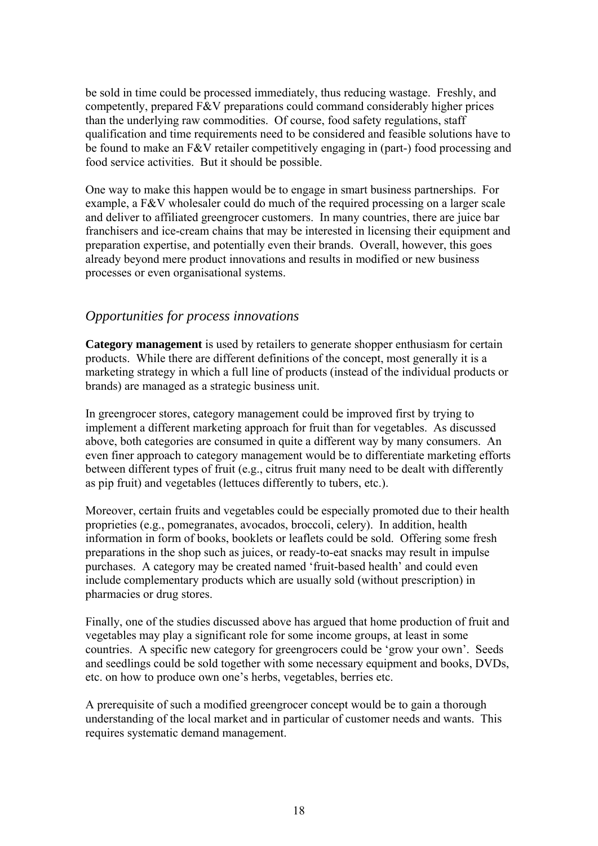be sold in time could be processed immediately, thus reducing wastage. Freshly, and competently, prepared F&V preparations could command considerably higher prices than the underlying raw commodities. Of course, food safety regulations, staff qualification and time requirements need to be considered and feasible solutions have to be found to make an F&V retailer competitively engaging in (part-) food processing and food service activities. But it should be possible.

One way to make this happen would be to engage in smart business partnerships. For example, a F&V wholesaler could do much of the required processing on a larger scale and deliver to affiliated greengrocer customers. In many countries, there are juice bar franchisers and ice-cream chains that may be interested in licensing their equipment and preparation expertise, and potentially even their brands. Overall, however, this goes already beyond mere product innovations and results in modified or new business processes or even organisational systems.

# 9B*Opportunities for process innovations*

**Category management** is used by retailers to generate shopper enthusiasm for certain products. While there are different definitions of the concept, most generally it is a marketing strategy in which a full line of products (instead of the individual products or brands) are managed as a strategic business unit.

In greengrocer stores, category management could be improved first by trying to implement a different marketing approach for fruit than for vegetables. As discussed above, both categories are consumed in quite a different way by many consumers. An even finer approach to category management would be to differentiate marketing efforts between different types of fruit (e.g., citrus fruit many need to be dealt with differently as pip fruit) and vegetables (lettuces differently to tubers, etc.).

Moreover, certain fruits and vegetables could be especially promoted due to their health proprieties (e.g., pomegranates, avocados, broccoli, celery). In addition, health information in form of books, booklets or leaflets could be sold. Offering some fresh preparations in the shop such as juices, or ready-to-eat snacks may result in impulse purchases. A category may be created named 'fruit-based health' and could even include complementary products which are usually sold (without prescription) in pharmacies or drug stores.

Finally, one of the studies discussed above has argued that home production of fruit and vegetables may play a significant role for some income groups, at least in some countries. A specific new category for greengrocers could be 'grow your own'. Seeds and seedlings could be sold together with some necessary equipment and books, DVDs, etc. on how to produce own one's herbs, vegetables, berries etc.

A prerequisite of such a modified greengrocer concept would be to gain a thorough understanding of the local market and in particular of customer needs and wants. This requires systematic demand management.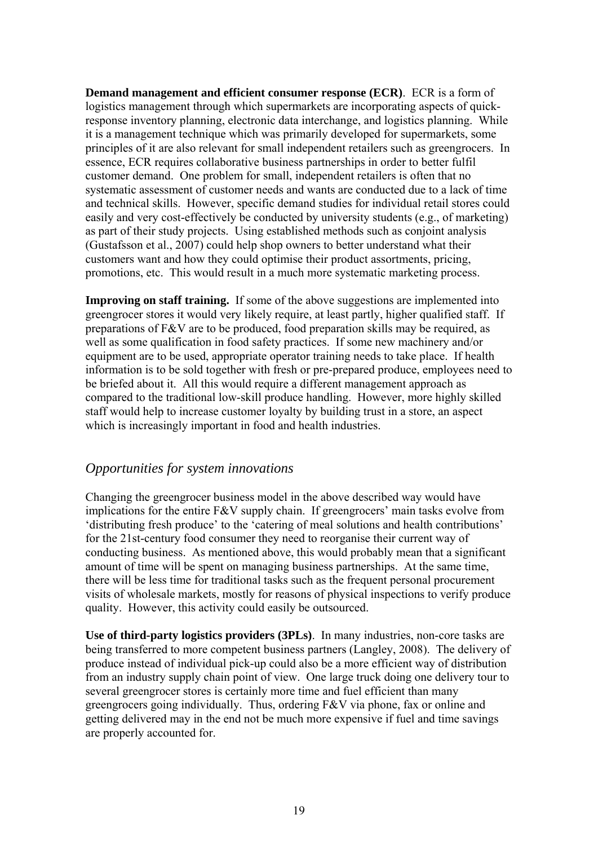**Demand management and efficient consumer response (ECR)**. ECR is a form of logistics management through which supermarkets are incorporating aspects of quickresponse inventory planning, electronic data interchange, and logistics planning. While it is a management technique which was primarily developed for supermarkets, some principles of it are also relevant for small independent retailers such as greengrocers. In essence, ECR requires collaborative business partnerships in order to better fulfil customer demand. One problem for small, independent retailers is often that no systematic assessment of customer needs and wants are conducted due to a lack of time and technical skills. However, specific demand studies for individual retail stores could easily and very cost-effectively be conducted by university students (e.g., of marketing) as part of their study projects. Using established methods such as conjoint analysis (Gustafsson et al., 2007) could help shop owners to better understand what their customers want and how they could optimise their product assortments, pricing, promotions, etc. This would result in a much more systematic marketing process.

**Improving on staff training.** If some of the above suggestions are implemented into greengrocer stores it would very likely require, at least partly, higher qualified staff. If preparations of F&V are to be produced, food preparation skills may be required, as well as some qualification in food safety practices. If some new machinery and/or equipment are to be used, appropriate operator training needs to take place. If health information is to be sold together with fresh or pre-prepared produce, employees need to be briefed about it. All this would require a different management approach as compared to the traditional low-skill produce handling. However, more highly skilled staff would help to increase customer loyalty by building trust in a store, an aspect which is increasingly important in food and health industries.

# 10B*Opportunities for system innovations*

Changing the greengrocer business model in the above described way would have implications for the entire F&V supply chain. If greengrocers' main tasks evolve from 'distributing fresh produce' to the 'catering of meal solutions and health contributions' for the 21st-century food consumer they need to reorganise their current way of conducting business. As mentioned above, this would probably mean that a significant amount of time will be spent on managing business partnerships. At the same time, there will be less time for traditional tasks such as the frequent personal procurement visits of wholesale markets, mostly for reasons of physical inspections to verify produce quality. However, this activity could easily be outsourced.

**Use of third-party logistics providers (3PLs)**. In many industries, non-core tasks are being transferred to more competent business partners (Langley, 2008). The delivery of produce instead of individual pick-up could also be a more efficient way of distribution from an industry supply chain point of view. One large truck doing one delivery tour to several greengrocer stores is certainly more time and fuel efficient than many greengrocers going individually. Thus, ordering F&V via phone, fax or online and getting delivered may in the end not be much more expensive if fuel and time savings are properly accounted for.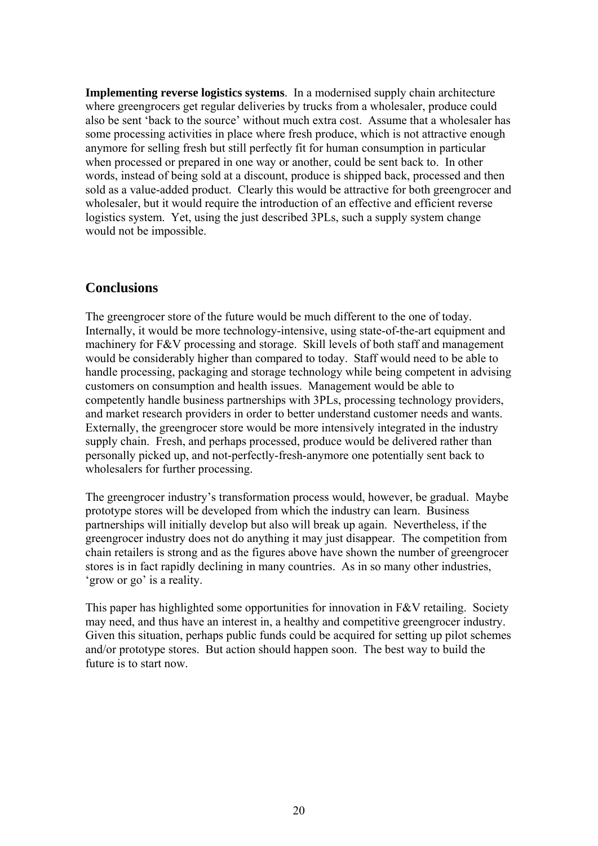**Implementing reverse logistics systems**. In a modernised supply chain architecture where greengrocers get regular deliveries by trucks from a wholesaler, produce could also be sent 'back to the source' without much extra cost. Assume that a wholesaler has some processing activities in place where fresh produce, which is not attractive enough anymore for selling fresh but still perfectly fit for human consumption in particular when processed or prepared in one way or another, could be sent back to. In other words, instead of being sold at a discount, produce is shipped back, processed and then sold as a value-added product. Clearly this would be attractive for both greengrocer and wholesaler, but it would require the introduction of an effective and efficient reverse logistics system. Yet, using the just described 3PLs, such a supply system change would not be impossible.

## 4B**Conclusions**

The greengrocer store of the future would be much different to the one of today. Internally, it would be more technology-intensive, using state-of-the-art equipment and machinery for F&V processing and storage. Skill levels of both staff and management would be considerably higher than compared to today. Staff would need to be able to handle processing, packaging and storage technology while being competent in advising customers on consumption and health issues. Management would be able to competently handle business partnerships with 3PLs, processing technology providers, and market research providers in order to better understand customer needs and wants. Externally, the greengrocer store would be more intensively integrated in the industry supply chain. Fresh, and perhaps processed, produce would be delivered rather than personally picked up, and not-perfectly-fresh-anymore one potentially sent back to wholesalers for further processing.

The greengrocer industry's transformation process would, however, be gradual. Maybe prototype stores will be developed from which the industry can learn. Business partnerships will initially develop but also will break up again. Nevertheless, if the greengrocer industry does not do anything it may just disappear. The competition from chain retailers is strong and as the figures above have shown the number of greengrocer stores is in fact rapidly declining in many countries. As in so many other industries, 'grow or go' is a reality.

This paper has highlighted some opportunities for innovation in F&V retailing. Society may need, and thus have an interest in, a healthy and competitive greengrocer industry. Given this situation, perhaps public funds could be acquired for setting up pilot schemes and/or prototype stores. But action should happen soon. The best way to build the future is to start now.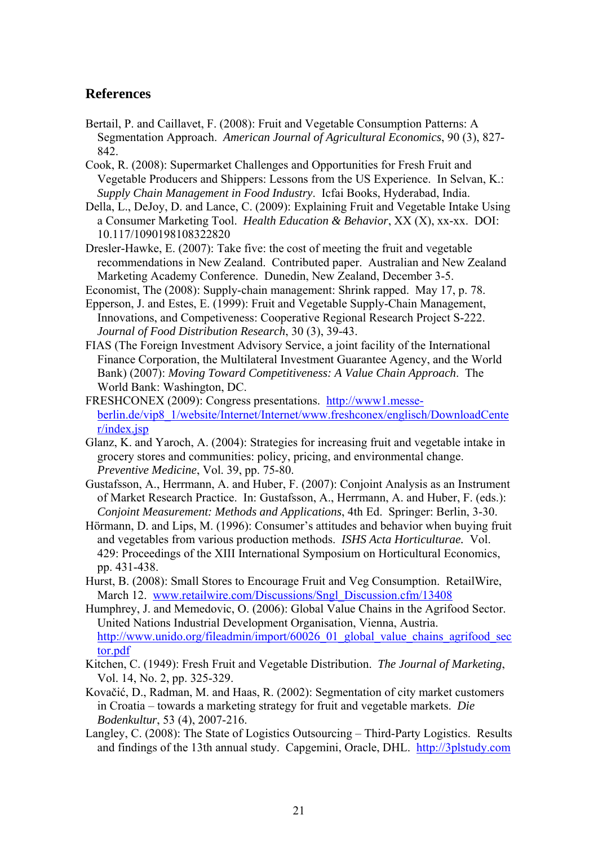# 5B**References**

- Bertail, P. and Caillavet, F. (2008): Fruit and Vegetable Consumption Patterns: A Segmentation Approach. *American Journal of Agricultural Economics*, 90 (3), 827- 842.
- Cook, R. (2008): Supermarket Challenges and Opportunities for Fresh Fruit and Vegetable Producers and Shippers: Lessons from the US Experience. In Selvan, K.: *Supply Chain Management in Food Industry*. Icfai Books, Hyderabad, India.
- Della, L., DeJoy, D. and Lance, C. (2009): Explaining Fruit and Vegetable Intake Using a Consumer Marketing Tool. *Health Education & Behavior*, XX (X), xx-xx. DOI: 10.117/1090198108322820
- Dresler-Hawke, E. (2007): Take five: the cost of meeting the fruit and vegetable recommendations in New Zealand. Contributed paper. Australian and New Zealand Marketing Academy Conference. Dunedin, New Zealand, December 3-5.
- Economist, The (2008): Supply-chain management: Shrink rapped. May 17, p. 78.
- Epperson, J. and Estes, E. (1999): Fruit and Vegetable Supply-Chain Management, Innovations, and Competiveness: Cooperative Regional Research Project S-222. *Journal of Food Distribution Research*, 30 (3), 39-43.
- FIAS (The Foreign Investment Advisory Service, a joint facility of the International Finance Corporation, the Multilateral Investment Guarantee Agency, and the World Bank) (2007): *Moving Toward Competitiveness: A Value Chain Approach*. The World Bank: Washington, DC.
- FRESHCONEX (2009): Congress presentations. http://www1.messeberlin.de/vip8\_1/website/Internet/Internet/www.freshconex/englisch/DownloadCente  $r/index$ .jsp
- Glanz, K. and Yaroch, A. (2004): Strategies for increasing fruit and vegetable intake in grocery stores and communities: policy, pricing, and environmental change. *Preventive Medicine*, Vol. 39, pp. 75-80.
- Gustafsson, A., Herrmann, A. and Huber, F. (2007): Conjoint Analysis as an Instrument of Market Research Practice. In: Gustafsson, A., Herrmann, A. and Huber, F. (eds.): *Conjoint Measurement: Methods and Applications*, 4th Ed. Springer: Berlin, 3-30.
- Hörmann, D. and Lips, M. (1996): Consumer's attitudes and behavior when buying fruit and vegetables from various production methods. *ISHS Acta Horticulturae.* Vol. 429: Proceedings of the XIII International Symposium on Horticultural Economics, pp. 431-438.
- Hurst, B. (2008): Small Stores to Encourage Fruit and Veg Consumption. RetailWire, March 12. www.retailwire.com/Discussions/Sngl\_Discussion.cfm/13408
- Humphrey, J. and Memedovic, O. (2006): Global Value Chains in the Agrifood Sector. United Nations Industrial Development Organisation, Vienna, Austria. http://www.unido.org/fileadmin/import/60026\_01\_global\_value\_chains\_agrifood\_sec tor.pdf
- Kitchen, C. (1949): Fresh Fruit and Vegetable Distribution. *The Journal of Marketing*, Vol. 14, No. 2, pp. 325-329.
- Kovačić, D., Radman, M. and Haas, R. (2002): Segmentation of city market customers in Croatia – towards a marketing strategy for fruit and vegetable markets. *Die Bodenkultur*, 53 (4), 2007-216.
- Langley, C. (2008): The State of Logistics Outsourcing Third-Party Logistics. Results and findings of the 13th annual study. Capgemini, Oracle, DHL. http://3plstudy.com